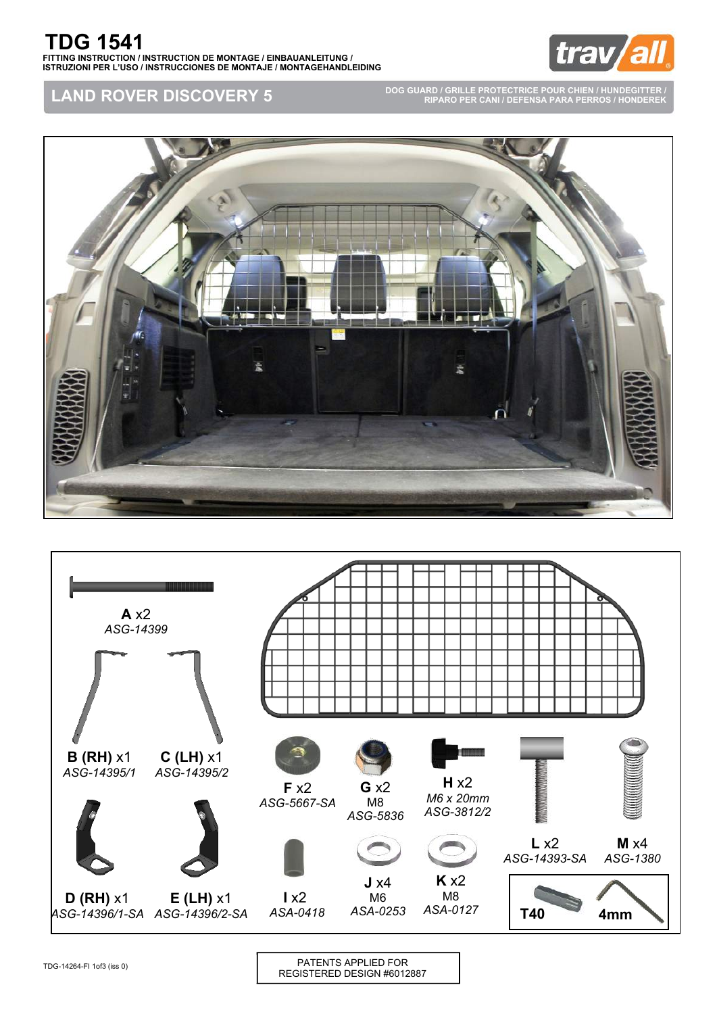

**LAND ROVER DISCOVERY 5**

**DOG GUARD / GRILLE PROTECTRICE POUR CHIEN / HUNDEGITTER / RIPARO PER CANI / DEFENSA PARA PERROS / HONDEREK**





TDG-14264-FI 1of3 (iss 0)

PATENTS APPLIED FOR REGISTERED DESIGN #6012887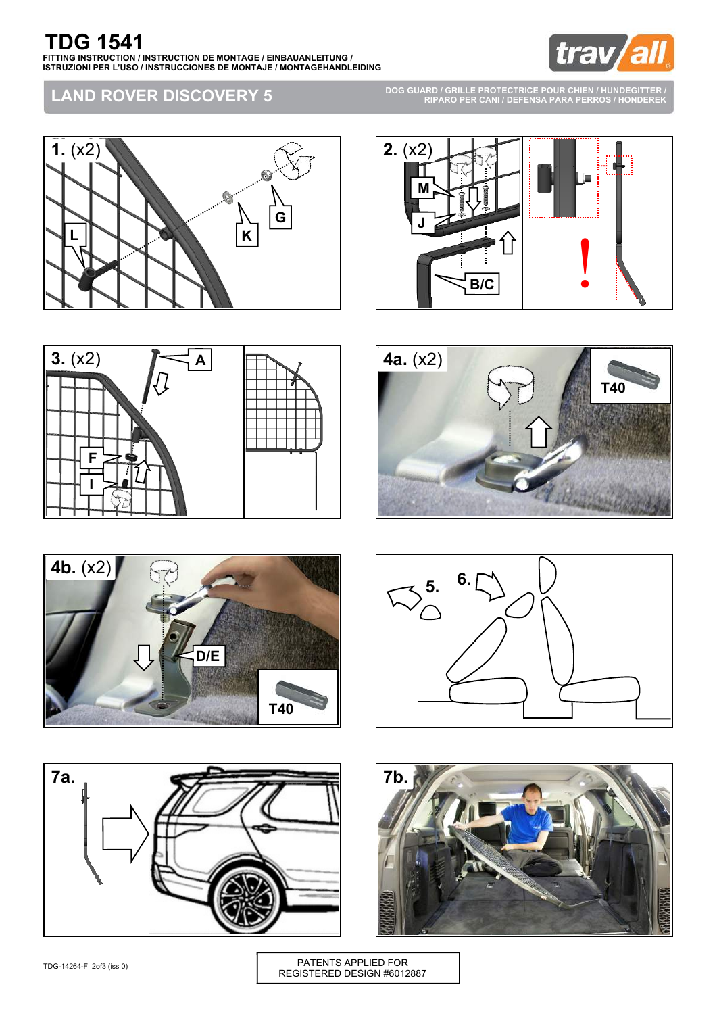

## **LAND ROVER DISCOVERY 5**

**DOG GUARD / GRILLE PROTECTRICE POUR CHIEN / HUNDEGITTER / RIPARO PER CANI / DEFENSA PARA PERROS / HONDEREK**

















PATENTS APPLIED FOR REGISTERED DESIGN #6012887